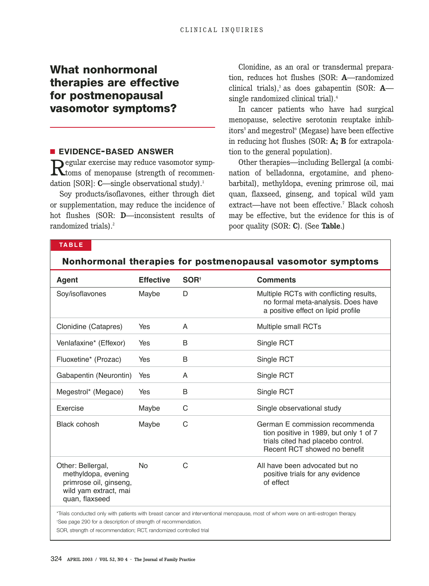# **What nonhormonal therapies are effective for postmenopausal vasomotor symptoms?**

## ■ **EVIDENCE-BASED ANSWER**

Regular exercise may reduce vasomotor symp-toms of menopause (strength of recommendation [SOR]: **C**—single observational study).<sup>1</sup>

Soy products/isoflavones, either through diet or supplementation, may reduce the incidence of hot flushes (SOR: **D**—inconsistent results of randomized trials).<sup>2</sup>

Clonidine, as an oral or transdermal preparation, reduces hot flushes (SOR: **A**—randomized clinical trials),<sup>3</sup> as does gabapentin (SOR: **A** single randomized clinical trial).<sup>4</sup>

In cancer patients who have had surgical menopause, selective serotonin reuptake inhibitors<sup>5</sup> and megestrol<sup>6</sup> (Megase) have been effective in reducing hot flushes (SOR: **A; B** for extrapolation to the general population).

Other therapies—including Bellergal (a combination of belladonna, ergotamine, and phenobarbital), methyldopa, evening primrose oil, mai quan, flaxseed, ginseng, and topical wild yam extract—have not been effective.<sup>7</sup> Black cohosh may be effective, but the evidence for this is of poor quality (SOR: **C**). (See **Table**.)

## **TABLE**

| <b>Agent</b>                                                                                                                                                                                                    | <b>Effective</b> | SOR <sup>+</sup> | <b>Comments</b>                                                                                                                               |
|-----------------------------------------------------------------------------------------------------------------------------------------------------------------------------------------------------------------|------------------|------------------|-----------------------------------------------------------------------------------------------------------------------------------------------|
| Soy/isoflavones                                                                                                                                                                                                 | Maybe            | D                | Multiple RCTs with conflicting results,<br>no formal meta-analysis. Does have<br>a positive effect on lipid profile                           |
| Clonidine (Catapres)                                                                                                                                                                                            | Yes              | A                | Multiple small RCTs                                                                                                                           |
| Venlafaxine* (Effexor)                                                                                                                                                                                          | Yes              | B                | Single RCT                                                                                                                                    |
| Fluoxetine* (Prozac)                                                                                                                                                                                            | Yes              | B                | Single RCT                                                                                                                                    |
| Gabapentin (Neurontin)                                                                                                                                                                                          | Yes              | A                | Single RCT                                                                                                                                    |
| Megestrol* (Megace)                                                                                                                                                                                             | Yes              | B                | Single RCT                                                                                                                                    |
| Exercise                                                                                                                                                                                                        | Maybe            | C                | Single observational study                                                                                                                    |
| Black cohosh                                                                                                                                                                                                    | Maybe            | C                | German E commission recommenda<br>tion positive in 1989, but only 1 of 7<br>trials cited had placebo control.<br>Recent RCT showed no benefit |
| Other: Bellergal,<br>methyldopa, evening<br>primrose oil, ginseng,<br>wild yam extract, mai<br>quan, flaxseed                                                                                                   | <b>No</b>        | C                | All have been advocated but no<br>positive trials for any evidence<br>of effect                                                               |
| *Trials conducted only with patients with breast cancer and interventional menopause, most of whom were on anti-estrogen therapy.<br><sup>+</sup> See page 290 for a description of strength of recommendation. |                  |                  |                                                                                                                                               |

**Nonhormonal therapies for postmenopausal vasomotor symptoms**

SOR, strength of recommendation; RCT, randomized controlled trial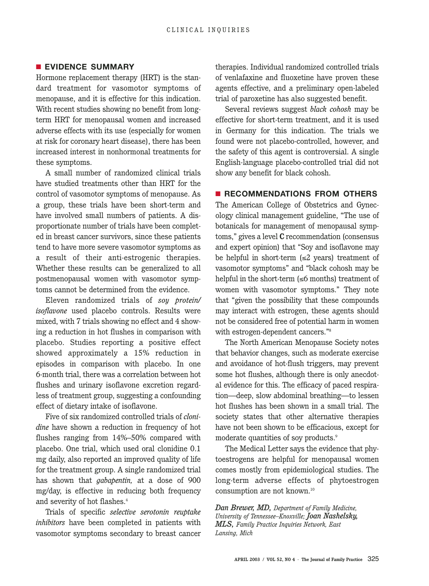#### ■ **EVIDENCE SUMMARY**

Hormone replacement therapy (HRT) is the standard treatment for vasomotor symptoms of menopause, and it is effective for this indication. With recent studies showing no benefit from longterm HRT for menopausal women and increased adverse effects with its use (especially for women at risk for coronary heart disease), there has been increased interest in nonhormonal treatments for these symptoms.

A small number of randomized clinical trials have studied treatments other than HRT for the control of vasomotor symptoms of menopause. As a group, these trials have been short-term and have involved small numbers of patients. A disproportionate number of trials have been completed in breast cancer survivors, since these patients tend to have more severe vasomotor symptoms as a result of their anti-estrogenic therapies. Whether these results can be generalized to all postmenopausal women with vasomotor symptoms cannot be determined from the evidence.

Eleven randomized trials of *soy protein/ isoflavone* used placebo controls. Results were mixed, with 7 trials showing no effect and 4 showing a reduction in hot flushes in comparison with placebo. Studies reporting a positive effect showed approximately a 15% reduction in episodes in comparison with placebo. In one 6-month trial, there was a correlation between hot flushes and urinary isoflavone excretion regardless of treatment group, suggesting a confounding effect of dietary intake of isoflavone.

Five of six randomized controlled trials of *clonidine* have shown a reduction in frequency of hot flushes ranging from 14%–50% compared with placebo. One trial, which used oral clonidine 0.1 mg daily, also reported an improved quality of life for the treatment group. A single randomized trial has shown that *gabapentin,* at a dose of 900 mg/day, is effective in reducing both frequency and severity of hot flashes.<sup>4</sup>

Trials of specific *selective serotonin reuptake inhibitors* have been completed in patients with vasomotor symptoms secondary to breast cancer

therapies. Individual randomized controlled trials of venlafaxine and fluoxetine have proven these agents effective, and a preliminary open-labeled trial of paroxetine has also suggested benefit.

Several reviews suggest *black cohosh* may be effective for short-term treatment, and it is used in Germany for this indication. The trials we found were not placebo-controlled, however, and the safety of this agent is controversial. A single English-language placebo-controlled trial did not show any benefit for black cohosh.

### ■ **RECOMMENDATIONS FROM OTHERS**

The American College of Obstetrics and Gynecology clinical management guideline, "The use of botanicals for management of menopausal symptoms," gives a level **C** recommendation (consensus and expert opinion) that "Soy and isoflavone may be helpful in short-term  $(\leq 2 \text{ years})$  treatment of vasomotor symptoms" and "black cohosh may be helpful in the short-term (≤6 months) treatment of women with vasomotor symptoms." They note that "given the possibility that these compounds may interact with estrogen, these agents should not be considered free of potential harm in women with estrogen-dependent cancers."8

The North American Menopause Society notes that behavior changes, such as moderate exercise and avoidance of hot-flush triggers, may prevent some hot flushes, although there is only anecdotal evidence for this. The efficacy of paced respiration—deep, slow abdominal breathing—to lessen hot flushes has been shown in a small trial. The society states that other alternative therapies have not been shown to be efficacious, except for moderate quantities of soy products.<sup>9</sup>

The Medical Letter says the evidence that phytoestrogens are helpful for menopausal women comes mostly from epidemiological studies. The long-term adverse effects of phytoestrogen consumption are not known.10

*Dan Brewer, MD, Department of Family Medicine, University of Tennessee–Knoxville; Joan Nashelsky, MLS, Family Practice Inquiries Network, East Lansing, Mich*